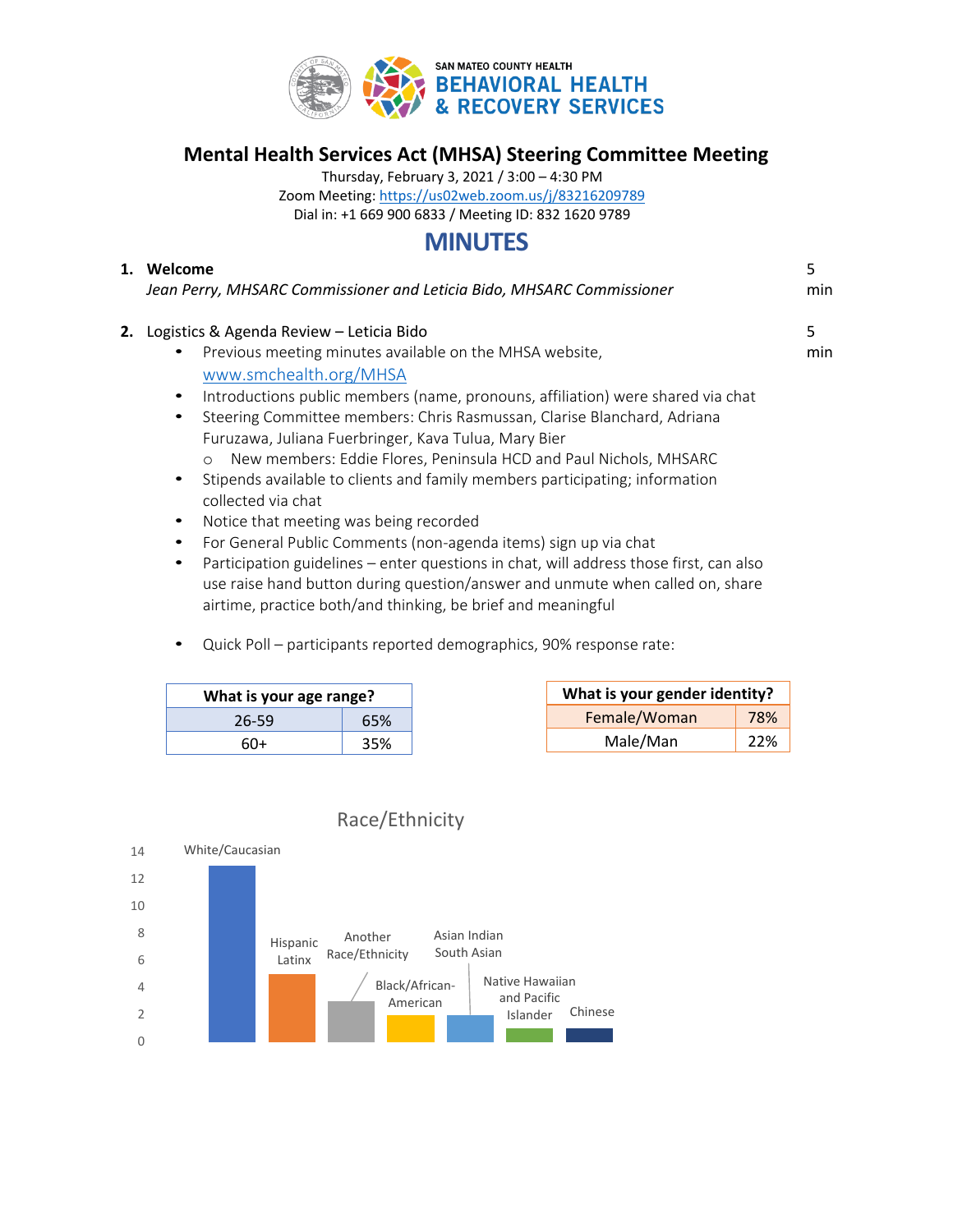

# **Mental Health Services Act (MHSA) Steering Committee Meeting**

Thursday, February 3, 2021 / 3:00 – 4:30 PM Zoom Meeting: <https://us02web.zoom.us/j/83216209789> Dial in: +1 669 900 6833 / Meeting ID: 832 1620 9789

# **MINUTES**

| 1. | Welcome<br>Jean Perry, MHSARC Commissioner and Leticia Bido, MHSARC Commissioner             | 5<br>min |
|----|----------------------------------------------------------------------------------------------|----------|
| 2. | Logistics & Agenda Review - Leticia Bido                                                     | 5        |
|    | Previous meeting minutes available on the MHSA website,<br>٠                                 | min      |
|    | www.smchealth.org/MHSA                                                                       |          |
|    | Introductions public members (name, pronouns, affiliation) were shared via chat<br>$\bullet$ |          |
|    | Steering Committee members: Chris Rasmussan, Clarise Blanchard, Adriana<br>٠                 |          |
|    | Furuzawa, Juliana Fuerbringer, Kava Tulua, Mary Bier                                         |          |
|    | New members: Eddie Flores, Peninsula HCD and Paul Nichols, MHSARC<br>$\circ$                 |          |
|    | Stipends available to clients and family members participating; information<br>٠             |          |
|    | collected via chat                                                                           |          |

- Notice that meeting was being recorded
- For General Public Comments (non-agenda items) sign up via chat
- Participation guidelines enter questions in chat, will address those first, can also use raise hand button during question/answer and unmute when called on, share airtime, practice both/and thinking, be brief and meaningful
- Quick Poll participants reported demographics, 90% response rate:

| What is your age range? |     | What is your gender identity? |     |
|-------------------------|-----|-------------------------------|-----|
| $26 - 59$               | 65% | Female/Woman                  | 78% |
| 60+                     | 35% | Male/Man                      | 22% |

# Race/Ethnicity

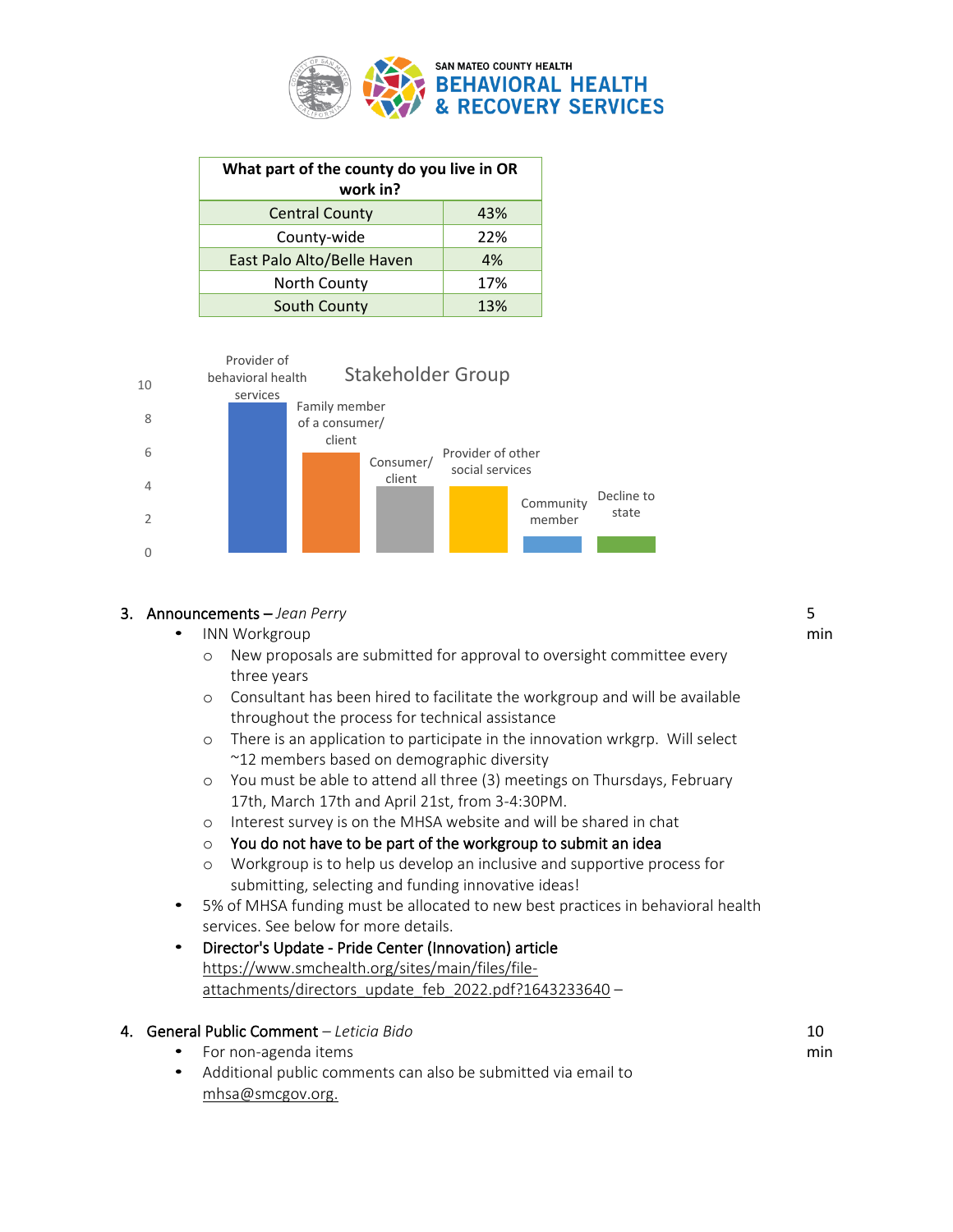

| What part of the county do you live in OR<br>work in? |     |  |  |  |  |  |
|-------------------------------------------------------|-----|--|--|--|--|--|
|                                                       |     |  |  |  |  |  |
| <b>Central County</b>                                 | 43% |  |  |  |  |  |
| County-wide                                           | 22% |  |  |  |  |  |
| East Palo Alto/Belle Haven                            | 4%  |  |  |  |  |  |
| North County                                          | 17% |  |  |  |  |  |
| South County                                          | 13% |  |  |  |  |  |



#### 3. Announcements – *Jean Perry*

- INN Workgroup
	- o New proposals are submitted for approval to oversight committee every three years
	- o Consultant has been hired to facilitate the workgroup and will be available throughout the process for technical assistance
	- o There is an application to participate in the innovation wrkgrp. Will select ~12 members based on demographic diversity
	- o You must be able to attend all three (3) meetings on Thursdays, February 17th, March 17th and April 21st, from 3-4:30PM.
	- o Interest survey is on the MHSA website and will be shared in chat
	- $\circ$  You do not have to be part of the workgroup to submit an idea
	- o Workgroup is to help us develop an inclusive and supportive process for submitting, selecting and funding innovative ideas!
- 5% of MHSA funding must be allocated to new best practices in behavioral health services. See below for more details.
- Director's Update Pride Center (Innovation) article [https://www.smchealth.org/sites/main/files/file](https://www.smchealth.org/sites/main/files/file-attachments/directors_update_feb_2022.pdf?1643233640)[attachments/directors\\_update\\_feb\\_2022.pdf?1643233640](https://www.smchealth.org/sites/main/files/file-attachments/directors_update_feb_2022.pdf?1643233640) –

#### 4. General Public Comment *– Leticia Bido*

- For non-agenda items
- Additional public comments can also be submitted via email to [mhsa@smcgov.org.](mailto:mhsa@smcgov.org)

5

min

10 min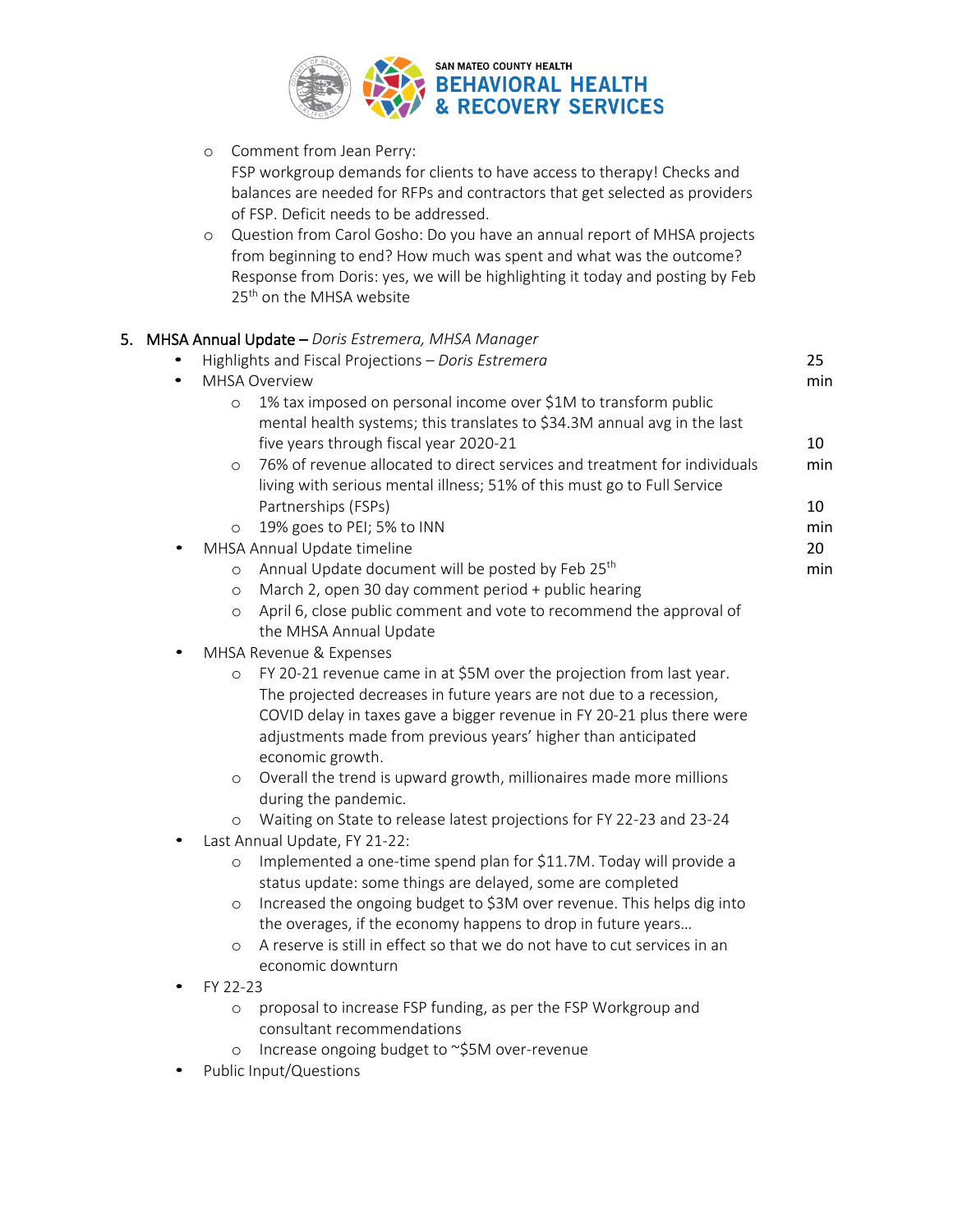

o Comment from Jean Perry: FSP workgroup demands for clients to have access to therapy! Checks and balances are needed for RFPs and contractors that get selected as providers of FSP. Deficit needs to be addressed.

o Question from Carol Gosho: Do you have an annual report of MHSA projects from beginning to end? How much was spent and what was the outcome? Response from Doris: yes, we will be highlighting it today and posting by Feb 25<sup>th</sup> on the MHSA website

| 5. MHSA Annual Update - Doris Estremera, MHSA Manager                                 |     |
|---------------------------------------------------------------------------------------|-----|
| Highlights and Fiscal Projections - Doris Estremera                                   | 25  |
| <b>MHSA Overview</b><br>$\bullet$                                                     | min |
| 1% tax imposed on personal income over \$1M to transform public<br>$\circ$            |     |
| mental health systems; this translates to \$34.3M annual avg in the last              |     |
| five years through fiscal year 2020-21                                                | 10  |
| 76% of revenue allocated to direct services and treatment for individuals<br>$\circ$  | min |
| living with serious mental illness; 51% of this must go to Full Service               |     |
| Partnerships (FSPs)                                                                   | 10  |
| 19% goes to PEI; 5% to INN<br>$\circ$                                                 | min |
| MHSA Annual Update timeline                                                           | 20  |
| Annual Update document will be posted by Feb 25 <sup>th</sup><br>$\circ$              | min |
| March 2, open 30 day comment period + public hearing<br>$\circ$                       |     |
| April 6, close public comment and vote to recommend the approval of<br>$\circ$        |     |
| the MHSA Annual Update                                                                |     |
| MHSA Revenue & Expenses                                                               |     |
| FY 20-21 revenue came in at \$5M over the projection from last year.<br>$\circ$       |     |
| The projected decreases in future years are not due to a recession,                   |     |
| COVID delay in taxes gave a bigger revenue in FY 20-21 plus there were                |     |
| adjustments made from previous years' higher than anticipated                         |     |
| economic growth.                                                                      |     |
| Overall the trend is upward growth, millionaires made more millions<br>$\circ$        |     |
| during the pandemic.                                                                  |     |
| Waiting on State to release latest projections for FY 22-23 and 23-24<br>$\circ$      |     |
| Last Annual Update, FY 21-22:                                                         |     |
| Implemented a one-time spend plan for \$11.7M. Today will provide a<br>$\circ$        |     |
| status update: some things are delayed, some are completed                            |     |
| Increased the ongoing budget to \$3M over revenue. This helps dig into<br>$\circ$     |     |
| the overages, if the economy happens to drop in future years                          |     |
| A reserve is still in effect so that we do not have to cut services in an<br>$\Omega$ |     |
| economic downturn                                                                     |     |
| FY 22-23                                                                              |     |
| proposal to increase FSP funding, as per the FSP Workgroup and<br>O                   |     |
| consultant recommendations                                                            |     |

- o Increase ongoing budget to ~\$5M over-revenue
- Public Input/Questions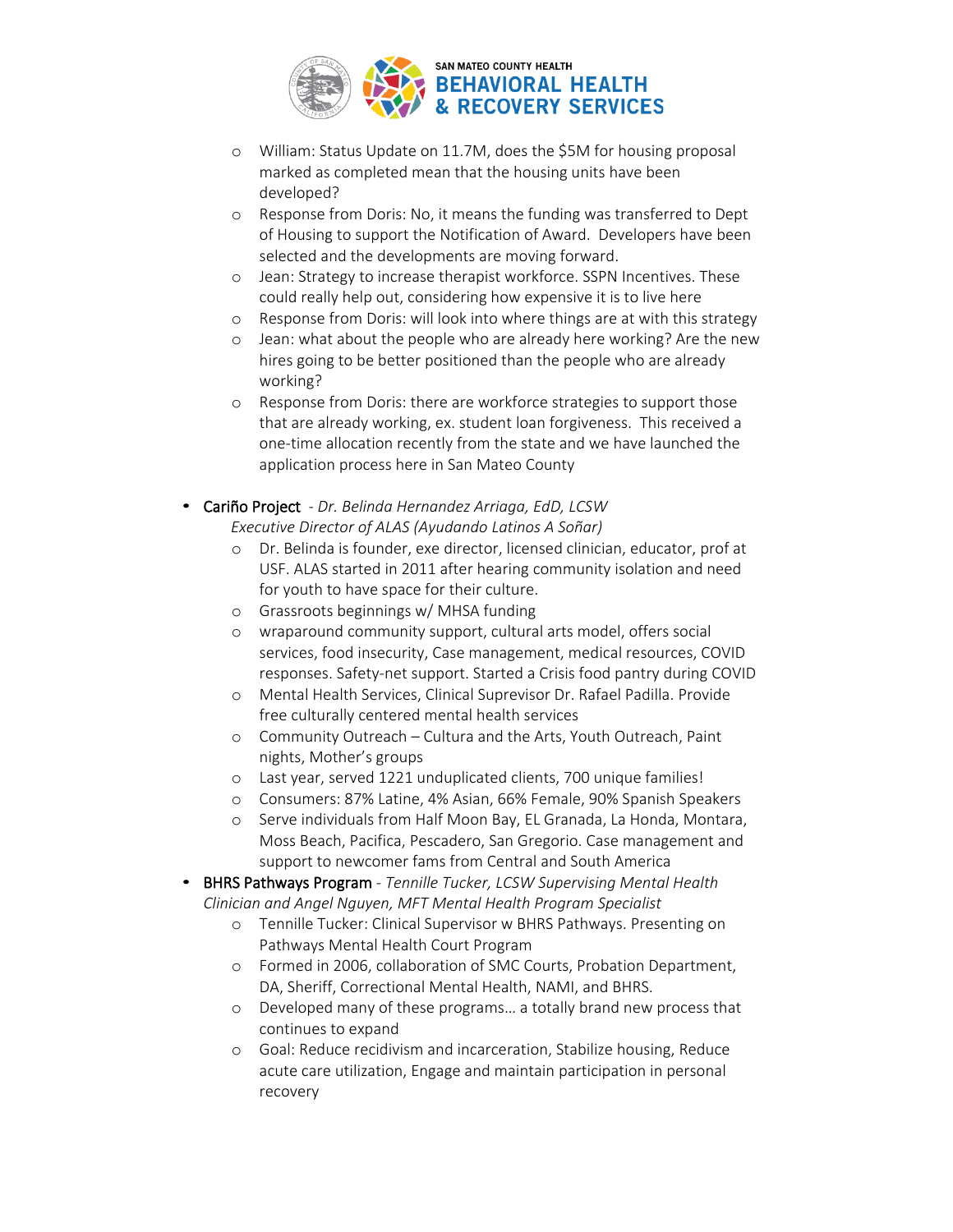

- o William: Status Update on 11.7M, does the \$5M for housing proposal marked as completed mean that the housing units have been developed?
- o Response from Doris: No, it means the funding was transferred to Dept of Housing to support the Notification of Award. Developers have been selected and the developments are moving forward.
- o Jean: Strategy to increase therapist workforce. SSPN Incentives. These could really help out, considering how expensive it is to live here
- o Response from Doris: will look into where things are at with this strategy
- o Jean: what about the people who are already here working? Are the new hires going to be better positioned than the people who are already working?
- o Response from Doris: there are workforce strategies to support those that are already working, ex. student loan forgiveness. This received a one-time allocation recently from the state and we have launched the application process here in San Mateo County
- Cariño Project *Dr. Belinda Hernandez Arriaga, EdD, LCSW Executive Director of ALAS (Ayudando Latinos A Soñar)*
	- o Dr. Belinda is founder, exe director, licensed clinician, educator, prof at USF. ALAS started in 2011 after hearing community isolation and need for youth to have space for their culture.
	- o Grassroots beginnings w/ MHSA funding
	- o wraparound community support, cultural arts model, offers social services, food insecurity, Case management, medical resources, COVID responses. Safety-net support. Started a Crisis food pantry during COVID
	- o Mental Health Services, Clinical Suprevisor Dr. Rafael Padilla. Provide free culturally centered mental health services
	- o Community Outreach Cultura and the Arts, Youth Outreach, Paint nights, Mother's groups
	- o Last year, served 1221 unduplicated clients, 700 unique families!
	- o Consumers: 87% Latine, 4% Asian, 66% Female, 90% Spanish Speakers
	- o Serve individuals from Half Moon Bay, EL Granada, La Honda, Montara, Moss Beach, Pacifica, Pescadero, San Gregorio. Case management and support to newcomer fams from Central and South America
- BHRS Pathways Program *Tennille Tucker, LCSW Supervising Mental Health Clinician and Angel Nguyen, MFT Mental Health Program Specialist*
	- o Tennille Tucker: Clinical Supervisor w BHRS Pathways. Presenting on Pathways Mental Health Court Program
	- o Formed in 2006, collaboration of SMC Courts, Probation Department, DA, Sheriff, Correctional Mental Health, NAMI, and BHRS.
	- o Developed many of these programs… a totally brand new process that continues to expand
	- o Goal: Reduce recidivism and incarceration, Stabilize housing, Reduce acute care utilization, Engage and maintain participation in personal recovery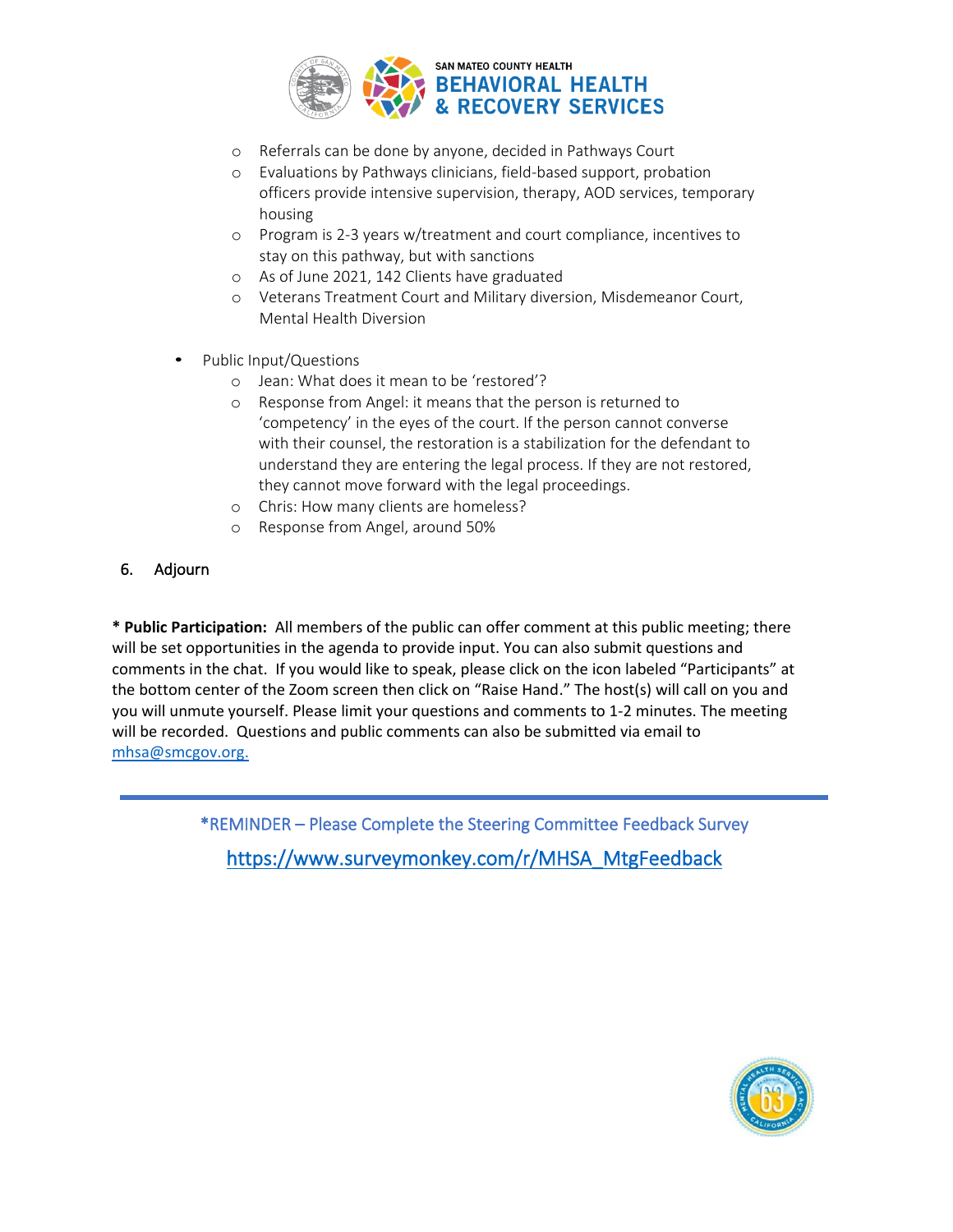

- o Referrals can be done by anyone, decided in Pathways Court
- o Evaluations by Pathways clinicians, field-based support, probation officers provide intensive supervision, therapy, AOD services, temporary housing
- o Program is 2-3 years w/treatment and court compliance, incentives to stay on this pathway, but with sanctions
- o As of June 2021, 142 Clients have graduated
- o Veterans Treatment Court and Military diversion, Misdemeanor Court, Mental Health Diversion
- Public Input/Questions
	- o Jean: What does it mean to be 'restored'?
	- o Response from Angel: it means that the person is returned to 'competency' in the eyes of the court. If the person cannot converse with their counsel, the restoration is a stabilization for the defendant to understand they are entering the legal process. If they are not restored, they cannot move forward with the legal proceedings.
	- o Chris: How many clients are homeless?
	- o Response from Angel, around 50%

### 6. Adjourn

**\* Public Participation:** All members of the public can offer comment at this public meeting; there will be set opportunities in the agenda to provide input. You can also submit questions and comments in the chat. If you would like to speak, please click on the icon labeled "Participants" at the bottom center of the Zoom screen then click on "Raise Hand." The host(s) will call on you and you will unmute yourself. Please limit your questions and comments to 1-2 minutes. The meeting will be recorded. Questions and public comments can also be submitted via email to [mhsa@smcgov.org.](mailto:mhsa@smcgov.org)

> \*REMINDER – Please Complete the Steering Committee Feedback Survey [https://www.surveymonkey.com/r/MHSA\\_MtgFeedback](https://www.surveymonkey.com/r/MHSA_MtgFeedback)